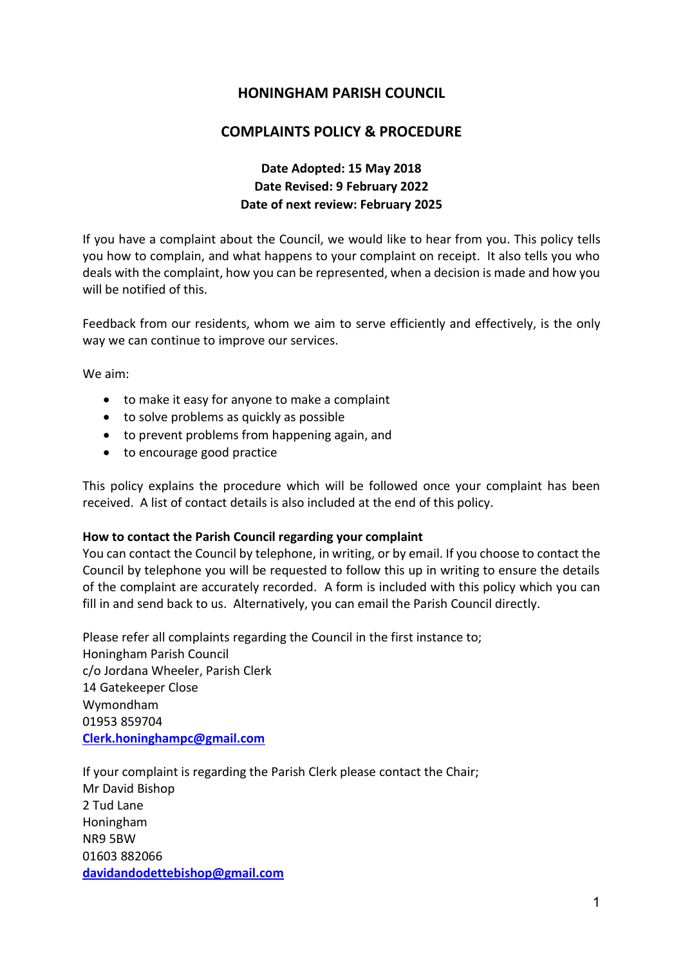# **HONINGHAM PARISH COUNCIL**

# **COMPLAINTS POLICY & PROCEDURE**

# **Date Adopted: 15 May 2018 Date Revised: 9 February 2022 Date of next review: February 2025**

If you have a complaint about the Council, we would like to hear from you. This policy tells you how to complain, and what happens to your complaint on receipt. It also tells you who deals with the complaint, how you can be represented, when a decision is made and how you will be notified of this.

Feedback from our residents, whom we aim to serve efficiently and effectively, is the only way we can continue to improve our services.

We aim:

- to make it easy for anyone to make a complaint
- to solve problems as quickly as possible
- to prevent problems from happening again, and
- to encourage good practice

This policy explains the procedure which will be followed once your complaint has been received. A list of contact details is also included at the end of this policy.

#### **How to contact the Parish Council regarding your complaint**

You can contact the Council by telephone, in writing, or by email. If you choose to contact the Council by telephone you will be requested to follow this up in writing to ensure the details of the complaint are accurately recorded. A form is included with this policy which you can fill in and send back to us. Alternatively, you can email the Parish Council directly.

Please refer all complaints regarding the Council in the first instance to; Honingham Parish Council c/o Jordana Wheeler, Parish Clerk 14 Gatekeeper Close Wymondham 01953 859704 **[Clerk.honinghampc@gmail.com](mailto:Clerk.honinghampc@gmail.com)**

If your complaint is regarding the Parish Clerk please contact the Chair; Mr David Bishop 2 Tud Lane Honingham NR9 5BW 01603 882066 **[davidandodettebishop@gmail.com](mailto:davidandodettebishop@gmail.com)**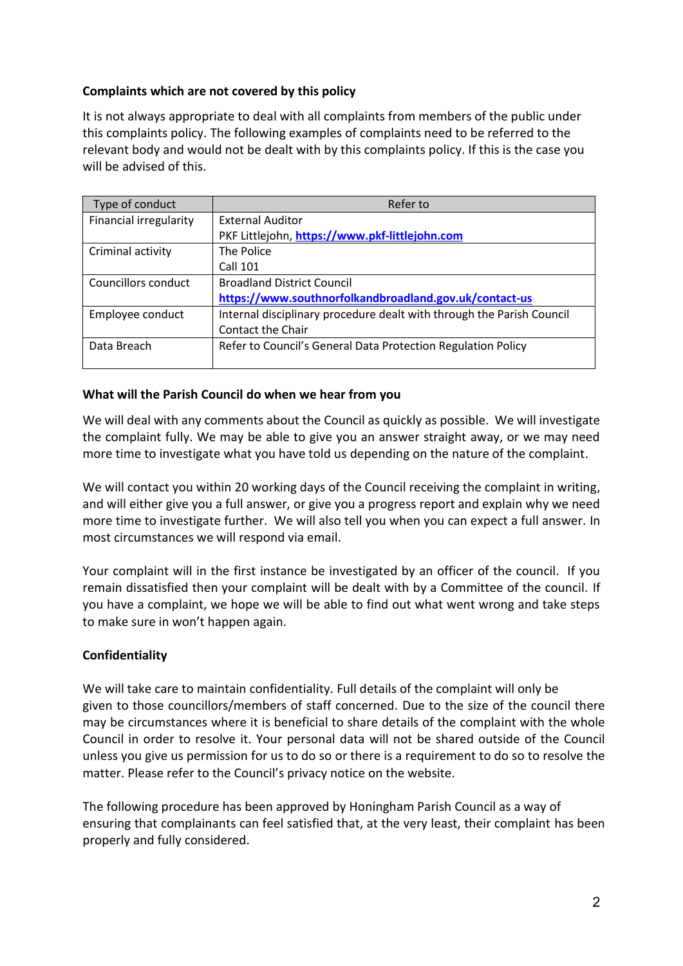## **Complaints which are not covered by this policy**

It is not always appropriate to deal with all complaints from members of the public under this complaints policy. The following examples of complaints need to be referred to the relevant body and would not be dealt with by this complaints policy. If this is the case you will be advised of this.

| Type of conduct        | Refer to                                                              |  |
|------------------------|-----------------------------------------------------------------------|--|
| Financial irregularity | <b>External Auditor</b>                                               |  |
|                        | PKF Littlejohn, https://www.pkf-littlejohn.com                        |  |
| Criminal activity      | The Police                                                            |  |
|                        | <b>Call 101</b>                                                       |  |
| Councillors conduct    | <b>Broadland District Council</b>                                     |  |
|                        | https://www.southnorfolkandbroadland.gov.uk/contact-us                |  |
| Employee conduct       | Internal disciplinary procedure dealt with through the Parish Council |  |
|                        | Contact the Chair                                                     |  |
| Data Breach            | Refer to Council's General Data Protection Regulation Policy          |  |
|                        |                                                                       |  |

#### **What will the Parish Council do when we hear from you**

We will deal with any comments about the Council as quickly as possible. We will investigate the complaint fully. We may be able to give you an answer straight away, or we may need more time to investigate what you have told us depending on the nature of the complaint.

We will contact you within 20 working days of the Council receiving the complaint in writing, and will either give you a full answer, or give you a progress report and explain why we need more time to investigate further. We will also tell you when you can expect a full answer. In most circumstances we will respond via email.

Your complaint will in the first instance be investigated by an officer of the council. If you remain dissatisfied then your complaint will be dealt with by a Committee of the council. If you have a complaint, we hope we will be able to find out what went wrong and take steps to make sure in won't happen again.

## **Confidentiality**

We will take care to maintain confidentiality. Full details of the complaint will only be given to those councillors/members of staff concerned. Due to the size of the council there may be circumstances where it is beneficial to share details of the complaint with the whole Council in order to resolve it. Your personal data will not be shared outside of the Council unless you give us permission for us to do so or there is a requirement to do so to resolve the matter. Please refer to the Council's privacy notice on the website.

The following procedure has been approved by Honingham Parish Council as a way of ensuring that complainants can feel satisfied that, at the very least, their complaint has been properly and fully considered.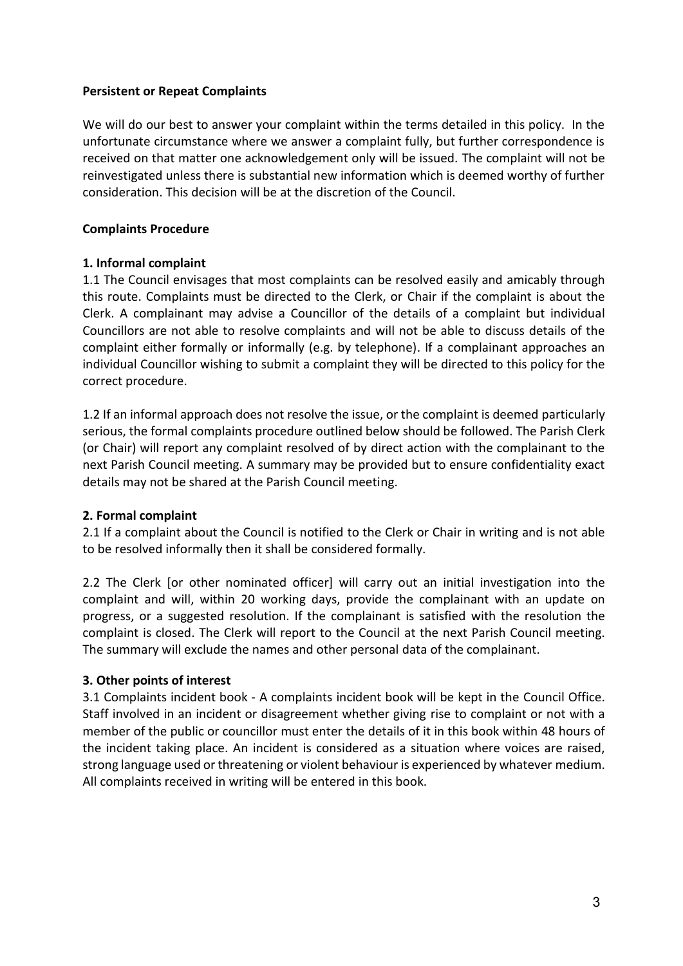### **Persistent or Repeat Complaints**

We will do our best to answer your complaint within the terms detailed in this policy. In the unfortunate circumstance where we answer a complaint fully, but further correspondence is received on that matter one acknowledgement only will be issued. The complaint will not be reinvestigated unless there is substantial new information which is deemed worthy of further consideration. This decision will be at the discretion of the Council.

### **Complaints Procedure**

#### **1. Informal complaint**

1.1 The Council envisages that most complaints can be resolved easily and amicably through this route. Complaints must be directed to the Clerk, or Chair if the complaint is about the Clerk. A complainant may advise a Councillor of the details of a complaint but individual Councillors are not able to resolve complaints and will not be able to discuss details of the complaint either formally or informally (e.g. by telephone). If a complainant approaches an individual Councillor wishing to submit a complaint they will be directed to this policy for the correct procedure.

1.2 If an informal approach does not resolve the issue, or the complaint is deemed particularly serious, the formal complaints procedure outlined below should be followed. The Parish Clerk (or Chair) will report any complaint resolved of by direct action with the complainant to the next Parish Council meeting. A summary may be provided but to ensure confidentiality exact details may not be shared at the Parish Council meeting.

## **2. Formal complaint**

2.1 If a complaint about the Council is notified to the Clerk or Chair in writing and is not able to be resolved informally then it shall be considered formally.

2.2 The Clerk [or other nominated officer] will carry out an initial investigation into the complaint and will, within 20 working days, provide the complainant with an update on progress, or a suggested resolution. If the complainant is satisfied with the resolution the complaint is closed. The Clerk will report to the Council at the next Parish Council meeting. The summary will exclude the names and other personal data of the complainant.

## **3. Other points of interest**

3.1 Complaints incident book - A complaints incident book will be kept in the Council Office. Staff involved in an incident or disagreement whether giving rise to complaint or not with a member of the public or councillor must enter the details of it in this book within 48 hours of the incident taking place. An incident is considered as a situation where voices are raised, strong language used or threatening or violent behaviour is experienced by whatever medium. All complaints received in writing will be entered in this book.